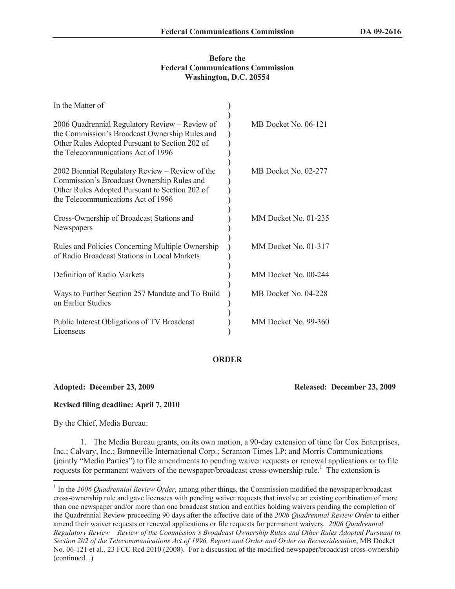### **Before the Federal Communications Commission Washington, D.C. 20554**

| In the Matter of                                                                                                                                                                         |                      |
|------------------------------------------------------------------------------------------------------------------------------------------------------------------------------------------|----------------------|
| 2006 Quadrennial Regulatory Review - Review of<br>the Commission's Broadcast Ownership Rules and<br>Other Rules Adopted Pursuant to Section 202 of<br>the Telecommunications Act of 1996 | MB Docket No. 06-121 |
| 2002 Biennial Regulatory Review – Review of the<br>Commission's Broadcast Ownership Rules and<br>Other Rules Adopted Pursuant to Section 202 of<br>the Telecommunications Act of 1996    | MB Docket No. 02-277 |
| Cross-Ownership of Broadcast Stations and<br>Newspapers                                                                                                                                  | MM Docket No. 01-235 |
| Rules and Policies Concerning Multiple Ownership<br>of Radio Broadcast Stations in Local Markets                                                                                         | MM Docket No. 01-317 |
| Definition of Radio Markets                                                                                                                                                              | MM Docket No. 00-244 |
| Ways to Further Section 257 Mandate and To Build<br>on Earlier Studies                                                                                                                   | MB Docket No. 04-228 |
| Public Interest Obligations of TV Broadcast<br>Licensees                                                                                                                                 | MM Docket No. 99-360 |

# **ORDER**

# **Adopted: December 23, 2009 Released: December 23, 2009**

# **Revised filing deadline: April 7, 2010**

By the Chief, Media Bureau:

1. The Media Bureau grants, on its own motion, a 90-day extension of time for Cox Enterprises, Inc.; Calvary, Inc.; Bonneville International Corp.; Scranton Times LP; and Morris Communications (jointly "Media Parties") to file amendments to pending waiver requests or renewal applications or to file requests for permanent waivers of the newspaper/broadcast cross-ownership rule.<sup>1</sup> The extension is

<sup>&</sup>lt;sup>1</sup> In the 2006 Quadrennial Review Order, among other things, the Commission modified the newspaper/broadcast cross-ownership rule and gave licensees with pending waiver requests that involve an existing combination of more than one newspaper and/or more than one broadcast station and entities holding waivers pending the completion of the Quadrennial Review proceeding 90 days after the effective date of the *2006 Quadrennial Review Order* to either amend their waiver requests or renewal applications or file requests for permanent waivers. *2006 Quadrennial Regulatory Review – Review of the Commission's Broadcast Ownership Rules and Other Rules Adopted Pursuant to Section 202 of the Telecommunications Act of 1996, Report and Order and Order on Reconsideration*, MB Docket No. 06-121 et al., 23 FCC Rcd 2010 (2008). For a discussion of the modified newspaper/broadcast cross-ownership (continued...)